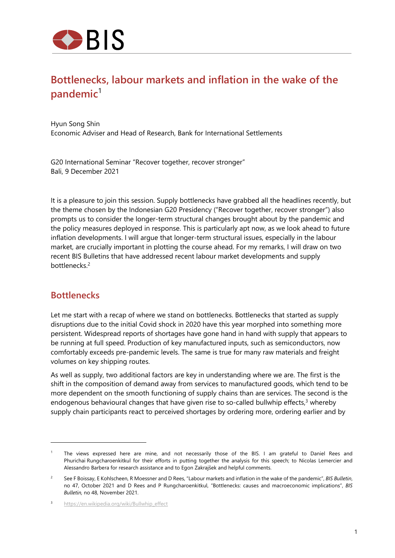

# **Bottlenecks, labour markets and inflation in the wake of the pandemic**<sup>1</sup>

Hyun Song Shin Economic Adviser and Head of Research, Bank for International Settlements

G20 International Seminar "Recover together, recover stronger" Bali, 9 December 2021

It is a pleasure to join this session. Supply bottlenecks have grabbed all the headlines recently, but the theme chosen by the Indonesian G20 Presidency ("Recover together, recover stronger") also prompts us to consider the longer-term structural changes brought about by the pandemic and the policy measures deployed in response. This is particularly apt now, as we look ahead to future inflation developments. I will argue that longer-term structural issues, especially in the labour market, are crucially important in plotting the course ahead. For my remarks, I will draw on two recent BIS Bulletins that have addressed recent labour market developments and supply bottlenecks.2

### **Bottlenecks**

Let me start with a recap of where we stand on bottlenecks. Bottlenecks that started as supply disruptions due to the initial Covid shock in 2020 have this year morphed into something more persistent. Widespread reports of shortages have gone hand in hand with supply that appears to be running at full speed. Production of key manufactured inputs, such as semiconductors, now comfortably exceeds pre-pandemic levels. The same is true for many raw materials and freight volumes on key shipping routes.

As well as supply, two additional factors are key in understanding where we are. The first is the shift in the composition of demand away from services to manufactured goods, which tend to be more dependent on the smooth functioning of supply chains than are services. The second is the endogenous behavioural changes that have given rise to so-called bullwhip effects, $3$  whereby supply chain participants react to perceived shortages by ordering more, ordering earlier and by

<sup>1</sup> The views expressed here are mine, and not necessarily those of the BIS. I am grateful to Daniel Rees and Phurichai Rungcharoenkitkul for their efforts in putting together the analysis for this speech; to Nicolas Lemercier and Alessandro Barbera for research assistance and to Egon Zakrajšek and helpful comments.

 $\overline{2}$  See F Boissay, E Kohlscheen, R Moessner and D Rees, "Labour markets and inflation in the wake of the pandemic", *BIS Bulletin*, no 47, October 2021 and D Rees and P Rungcharoenkitkul, "Bottlenecks: causes and macroeconomic implications", *BIS Bulletin,* no 48, November 2021.

<sup>3</sup> https://en.wikipedia.org/wiki/Bullwhip\_effect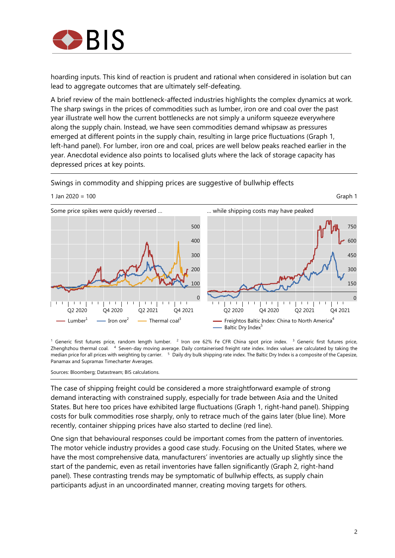

hoarding inputs. This kind of reaction is prudent and rational when considered in isolation but can lead to aggregate outcomes that are ultimately self-defeating.

A brief review of the main bottleneck-affected industries highlights the complex dynamics at work. The sharp swings in the prices of commodities such as lumber, iron ore and coal over the past year illustrate well how the current bottlenecks are not simply a uniform squeeze everywhere along the supply chain. Instead, we have seen commodities demand whipsaw as pressures emerged at different points in the supply chain, resulting in large price fluctuations (Graph 1, left-hand panel). For lumber, iron ore and coal, prices are well below peaks reached earlier in the year. Anecdotal evidence also points to localised gluts where the lack of storage capacity has depressed prices at key points.

Swings in commodity and shipping prices are suggestive of bullwhip effects



<sup>1</sup> Generic first futures price, random length lumber. <sup>2</sup> Iron ore 62% Fe CFR China spot price index. <sup>3</sup> Generic first futures price, Zhenghzhou thermal coal. 4 Seven-day moving average. Daily containerised freight rate index. Index values are calculated by taking the median price for all prices with weighting by carrier. <sup>5</sup> Daily dry bulk shipping rate index. The Baltic Dry Index is a composite of the Capesize, Panamax and Supramax Timecharter Averages.

Sources: Bloomberg; Datastream; BIS calculations.

The case of shipping freight could be considered a more straightforward example of strong demand interacting with constrained supply, especially for trade between Asia and the United States. But here too prices have exhibited large fluctuations (Graph 1, right-hand panel). Shipping costs for bulk commodities rose sharply, only to retrace much of the gains later (blue line). More recently, container shipping prices have also started to decline (red line).

One sign that behavioural responses could be important comes from the pattern of inventories. The motor vehicle industry provides a good case study. Focusing on the United States, where we have the most comprehensive data, manufacturers' inventories are actually up slightly since the start of the pandemic, even as retail inventories have fallen significantly (Graph 2, right-hand panel). These contrasting trends may be symptomatic of bullwhip effects, as supply chain participants adjust in an uncoordinated manner, creating moving targets for others.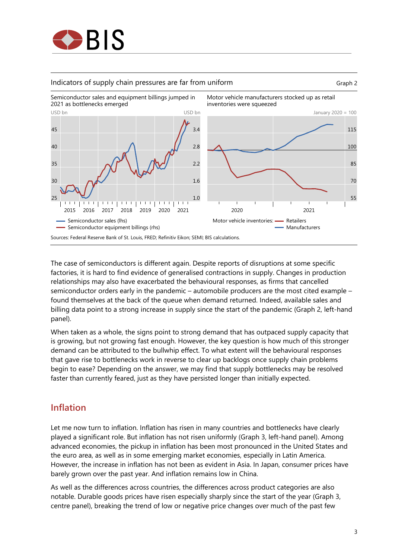

#### Indicators of supply chain pressures are far from uniform **Graph 2** Graph 2





The case of semiconductors is different again. Despite reports of disruptions at some specific factories, it is hard to find evidence of generalised contractions in supply. Changes in production relationships may also have exacerbated the behavioural responses, as firms that cancelled semiconductor orders early in the pandemic – automobile producers are the most cited example – found themselves at the back of the queue when demand returned. Indeed, available sales and billing data point to a strong increase in supply since the start of the pandemic (Graph 2, left-hand panel).

When taken as a whole, the signs point to strong demand that has outpaced supply capacity that is growing, but not growing fast enough. However, the key question is how much of this stronger demand can be attributed to the bullwhip effect. To what extent will the behavioural responses that gave rise to bottlenecks work in reverse to clear up backlogs once supply chain problems begin to ease? Depending on the answer, we may find that supply bottlenecks may be resolved faster than currently feared, just as they have persisted longer than initially expected.

## **Inflation**

Let me now turn to inflation. Inflation has risen in many countries and bottlenecks have clearly played a significant role. But inflation has not risen uniformly (Graph 3, left-hand panel). Among advanced economies, the pickup in inflation has been most pronounced in the United States and the euro area, as well as in some emerging market economies, especially in Latin America. However, the increase in inflation has not been as evident in Asia. In Japan, consumer prices have barely grown over the past year. And inflation remains low in China.

As well as the differences across countries, the differences across product categories are also notable. Durable goods prices have risen especially sharply since the start of the year (Graph 3, centre panel), breaking the trend of low or negative price changes over much of the past few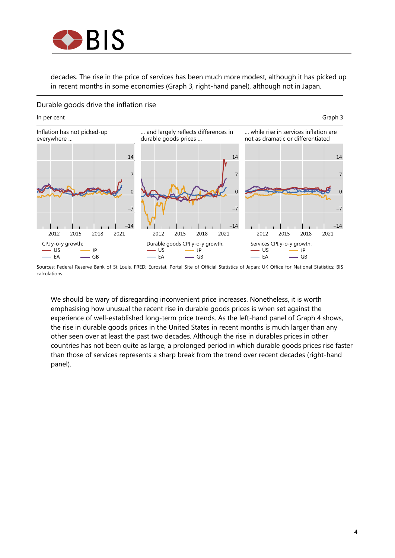

decades. The rise in the price of services has been much more modest, although it has picked up in recent months in some economies (Graph 3, right-hand panel), although not in Japan.

#### Durable goods drive the inflation rise



We should be wary of disregarding inconvenient price increases. Nonetheless, it is worth emphasising how unusual the recent rise in durable goods prices is when set against the experience of well-established long-term price trends. As the left-hand panel of Graph 4 shows, the rise in durable goods prices in the United States in recent months is much larger than any other seen over at least the past two decades. Although the rise in durables prices in other countries has not been quite as large, a prolonged period in which durable goods prices rise faster than those of services represents a sharp break from the trend over recent decades (right-hand panel).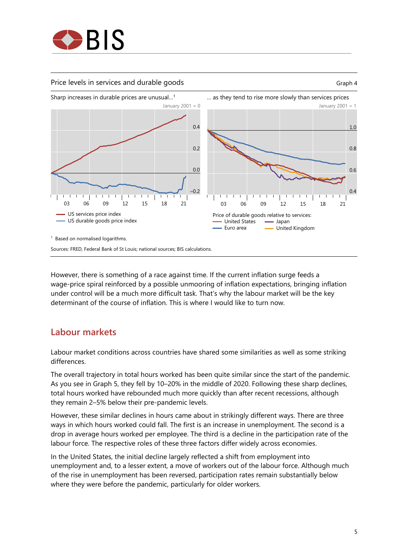

#### Price levels in services and durable goods **Graph 4** Graph 4





However, there is something of a race against time. If the current inflation surge feeds a wage-price spiral reinforced by a possible unmooring of inflation expectations, bringing inflation under control will be a much more difficult task. That's why the labour market will be the key determinant of the course of inflation. This is where I would like to turn now.

## **Labour markets**

Labour market conditions across countries have shared some similarities as well as some striking differences.

The overall trajectory in total hours worked has been quite similar since the start of the pandemic. As you see in Graph 5, they fell by 10–20% in the middle of 2020. Following these sharp declines, total hours worked have rebounded much more quickly than after recent recessions, although they remain 2–5% below their pre-pandemic levels.

However, these similar declines in hours came about in strikingly different ways. There are three ways in which hours worked could fall. The first is an increase in unemployment. The second is a drop in average hours worked per employee. The third is a decline in the participation rate of the labour force. The respective roles of these three factors differ widely across economies.

In the United States, the initial decline largely reflected a shift from employment into unemployment and, to a lesser extent, a move of workers out of the labour force. Although much of the rise in unemployment has been reversed, participation rates remain substantially below where they were before the pandemic, particularly for older workers.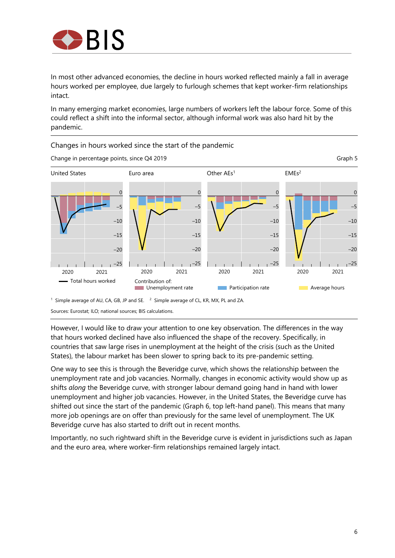

In most other advanced economies, the decline in hours worked reflected mainly a fall in average hours worked per employee, due largely to furlough schemes that kept worker-firm relationships intact.

In many emerging market economies, large numbers of workers left the labour force. Some of this could reflect a shift into the informal sector, although informal work was also hard hit by the pandemic.



However, I would like to draw your attention to one key observation. The differences in the way that hours worked declined have also influenced the shape of the recovery. Specifically, in countries that saw large rises in unemployment at the height of the crisis (such as the United States), the labour market has been slower to spring back to its pre-pandemic setting.

One way to see this is through the Beveridge curve, which shows the relationship between the unemployment rate and job vacancies. Normally, changes in economic activity would show up as shifts *along* the Beveridge curve, with stronger labour demand going hand in hand with lower unemployment and higher job vacancies. However, in the United States, the Beveridge curve has shifted out since the start of the pandemic (Graph 6, top left-hand panel). This means that many more job openings are on offer than previously for the same level of unemployment. The UK Beveridge curve has also started to drift out in recent months.

Importantly, no such rightward shift in the Beveridge curve is evident in jurisdictions such as Japan and the euro area, where worker-firm relationships remained largely intact.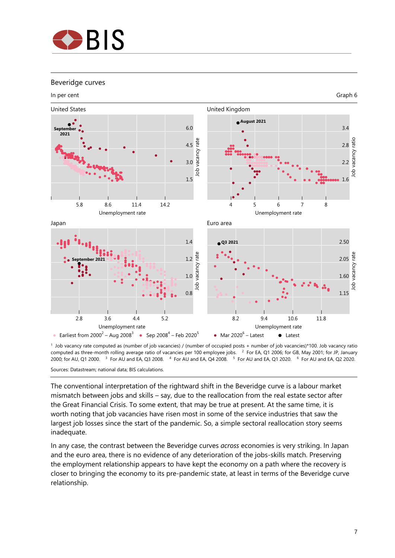

#### Beveridge curves



1 Job vacancy rate computed as (number of job vacancies) / (number of occupied posts + number of job vacancies)\*100. Job vacancy ratio computed as three-month rolling average ratio of vacancies per 100 employee jobs. 2 For EA, Q1 2006; for GB, May 2001; for JP, January 2000; for AU, Q1 2000. 3 For AU and EA, Q3 2008. 4 For AU and EA, Q4 2008. 5 For AU and EA, Q1 2020. 6 For AU and EA, Q2 2020.

Sources: Datastream; national data; BIS calculations.

The conventional interpretation of the rightward shift in the Beveridge curve is a labour market mismatch between jobs and skills – say, due to the reallocation from the real estate sector after the Great Financial Crisis. To some extent, that may be true at present. At the same time, it is worth noting that job vacancies have risen most in some of the service industries that saw the largest job losses since the start of the pandemic. So, a simple sectoral reallocation story seems inadequate.

In any case, the contrast between the Beveridge curves *across* economies is very striking. In Japan and the euro area, there is no evidence of any deterioration of the jobs-skills match. Preserving the employment relationship appears to have kept the economy on a path where the recovery is closer to bringing the economy to its pre-pandemic state, at least in terms of the Beveridge curve relationship.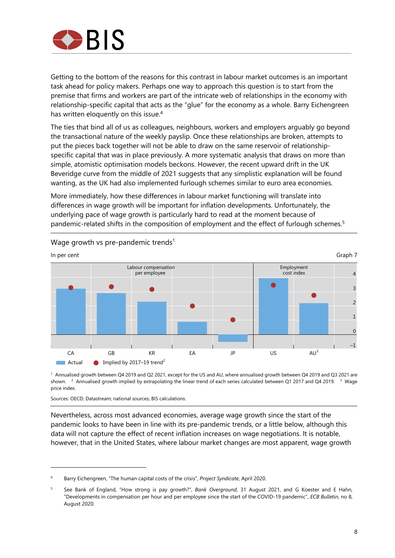

Getting to the bottom of the reasons for this contrast in labour market outcomes is an important task ahead for policy makers. Perhaps one way to approach this question is to start from the premise that firms and workers are part of the intricate web of relationships in the economy with relationship-specific capital that acts as the "glue" for the economy as a whole. Barry Eichengreen has written eloquently on this issue.<sup>4</sup>

The ties that bind all of us as colleagues, neighbours, workers and employers arguably go beyond the transactional nature of the weekly payslip. Once these relationships are broken, attempts to put the pieces back together will not be able to draw on the same reservoir of relationshipspecific capital that was in place previously. A more systematic analysis that draws on more than simple, atomistic optimisation models beckons. However, the recent upward drift in the UK Beveridge curve from the middle of 2021 suggests that any simplistic explanation will be found wanting, as the UK had also implemented furlough schemes similar to euro area economies.

More immediately, how these differences in labour market functioning will translate into differences in wage growth will be important for inflation developments. Unfortunately, the underlying pace of wage growth is particularly hard to read at the moment because of pandemic-related shifts in the composition of employment and the effect of furlough schemes.5



Wage growth vs pre-pandemic trends<sup>1</sup>

1 Annualised growth between Q4 2019 and Q2 2021, except for the US and AU, where annualised growth between Q4 2019 and Q3 2021 are shown. <sup>2</sup> Annualised growth implied by extrapolating the linear trend of each series calculated between Q1 2017 and Q4 2019. <sup>3</sup> Wage price index.

Sources: OECD; Datastream; national sources; BIS calculations.

Nevertheless, across most advanced economies, average wage growth since the start of the pandemic looks to have been in line with its pre-pandemic trends, or a little below, although this data will not capture the effect of recent inflation increases on wage negotiations. It is notable, however, that in the United States, where labour market changes are most apparent, wage growth

<sup>4</sup> Barry Eichengreen, "The human capital costs of the crisis", *Project Syndicate*, April 2020.

<sup>5</sup> See Bank of England, "How strong is pay growth?", *Bank Overground*, 31 August 2021, and G Koester and E Hahn, "Developments in compensation per hour and per employee since the start of the COVID-19 pandemic", *ECB Bulletin*, no 8, August 2020.